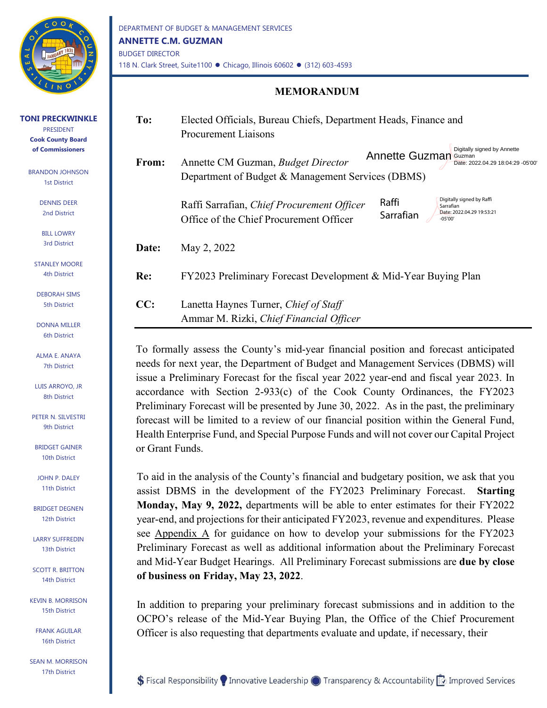

**TONI PRECKWINKLE** PRESIDENT **Cook County Board of Commissioners**

BRANDON JOHNSON 1st District

> DENNIS DEER 2nd District

### **MEMORANDUM**

| To:   | Elected Officials, Bureau Chiefs, Department Heads, Finance and<br>Procurement Liaisons                                                                                                         |  |  |
|-------|-------------------------------------------------------------------------------------------------------------------------------------------------------------------------------------------------|--|--|
| From: | Digitally signed by Annette<br>Annette Guzman<br>Guzman<br>Annette CM Guzman, Budget Director<br>Date: 2022.04.29 18:04:29 -05'00'<br>Department of Budget & Management Services (DBMS)         |  |  |
|       | Digitally signed by Raffi<br>Raffi<br>Raffi Sarrafian, Chief Procurement Officer<br>Sarrafian<br>Date: 2022.04.29 19:53:21<br>Sarrafian<br>Office of the Chief Procurement Officer<br>$-05'00'$ |  |  |
| Date: | May 2, 2022                                                                                                                                                                                     |  |  |
| Re:   | FY2023 Preliminary Forecast Development & Mid-Year Buying Plan                                                                                                                                  |  |  |
| CC:   | Lanetta Haynes Turner, Chief of Staff<br>Ammar M. Rizki, Chief Financial Officer                                                                                                                |  |  |

To formally assess the County's mid-year financial position and forecast anticipated needs for next year, the Department of Budget and Management Services (DBMS) will issue a Preliminary Forecast for the fiscal year 2022 year-end and fiscal year 2023. In accordance with Section 2-933(c) of the Cook County Ordinances, the FY2023 Preliminary Forecast will be presented by June 30, 2022. As in the past, the preliminary forecast will be limited to a review of our financial position within the General Fund, Health Enterprise Fund, and Special Purpose Funds and will not cover our Capital Project or Grant Funds.

To aid in the analysis of the County's financial and budgetary position, we ask that you assist DBMS in the development of the FY2023 Preliminary Forecast. **Starting Monday, May 9, 2022,** departments will be able to enter estimates for their FY2022 year-end, and projections for their anticipated FY2023, revenue and expenditures. Please see Appendix A for guidance on how to develop your submissions for the FY2023 Preliminary Forecast as well as additional information about the Preliminary Forecast and Mid-Year Budget Hearings. All Preliminary Forecast submissions are **due by close of business on Friday, May 23, 2022**.

In addition to preparing your preliminary forecast submissions and in addition to the OCPO's release of the Mid-Year Buying Plan, the Office of the Chief Procurement Officer is also requesting that departments evaluate and update, if necessary, their

BILL LOWRY 3rd District

STANLEY MOORE 4th District

DEBORAH SIMS 5th District

DONNA MILLER 6th District

ALMA E. ANAYA 7th District

LUIS ARROYO, JR 8th District

PETER N. SILVESTRI 9th District

BRIDGET GAINER 10th District

JOHN P. DALEY 11th District

BRIDGET DEGNEN 12th District

LARRY SUFFREDIN 13th District

SCOTT R. BRITTON 14th District

KEVIN B. MORRISON 15th District

FRANK AGUILAR 16th District

SEAN M. MORRISON 17th District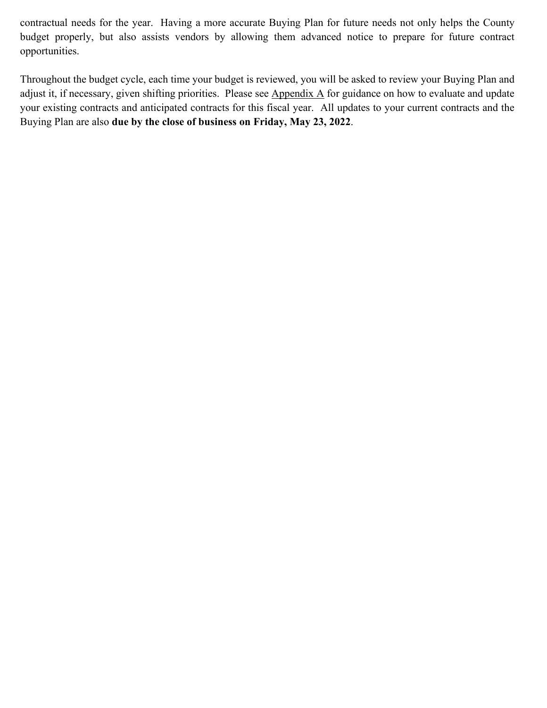contractual needs for the year. Having a more accurate Buying Plan for future needs not only helps the County budget properly, but also assists vendors by allowing them advanced notice to prepare for future contract opportunities.

Throughout the budget cycle, each time your budget is reviewed, you will be asked to review your Buying Plan and adjust it, if necessary, given shifting priorities. Please see Appendix A for guidance on how to evaluate and update your existing contracts and anticipated contracts for this fiscal year. All updates to your current contracts and the Buying Plan are also **due by the close of business on Friday, May 23, 2022**.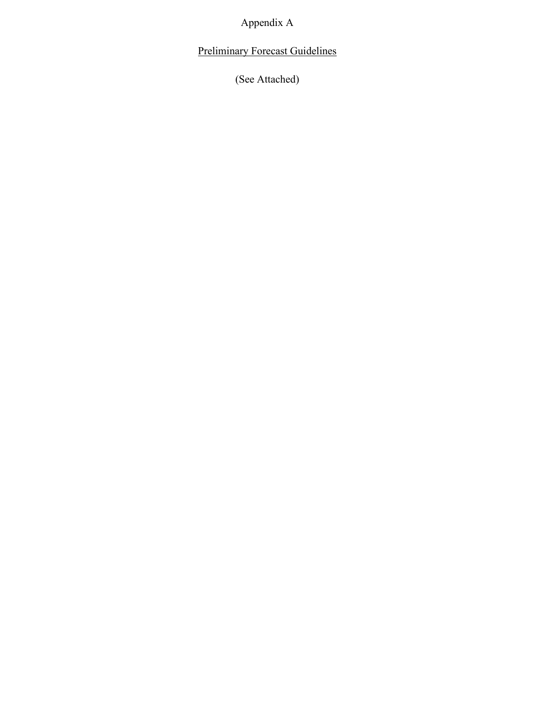Appendix A

Preliminary Forecast Guidelines

(See Attached)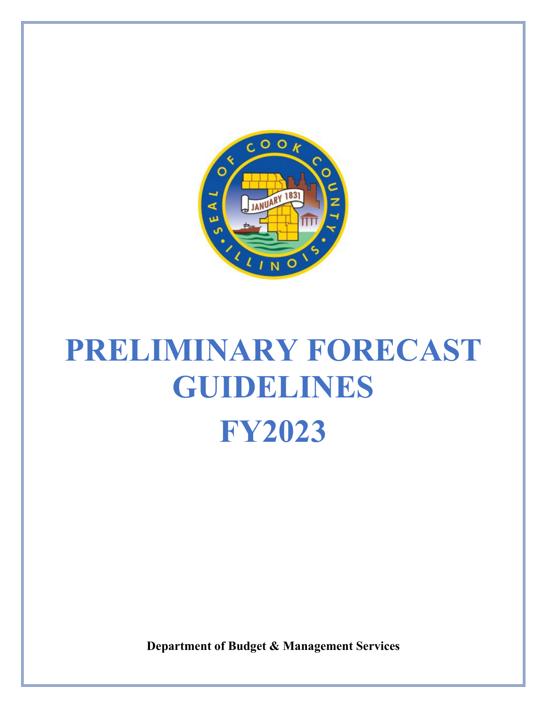

# **PRELIMINARY FORECAST GUIDELINES FY2023**

**Department of Budget & Management Services**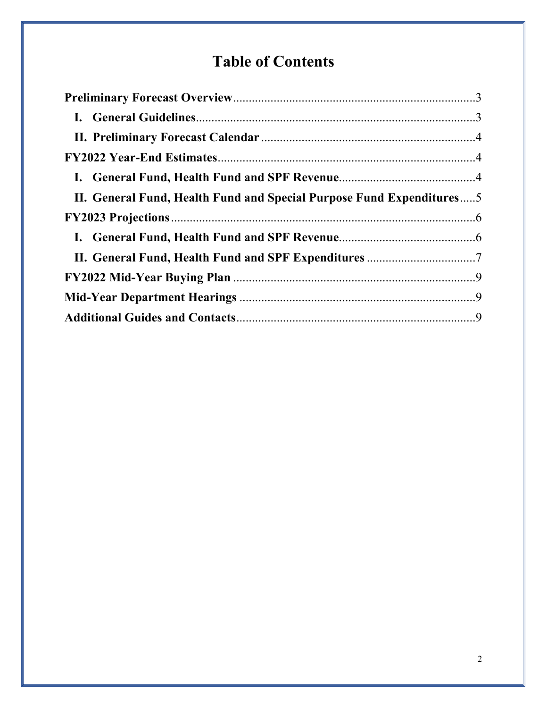# **Table of Contents**

| II. General Fund, Health Fund and Special Purpose Fund Expenditures5 |  |
|----------------------------------------------------------------------|--|
|                                                                      |  |
|                                                                      |  |
|                                                                      |  |
|                                                                      |  |
|                                                                      |  |
|                                                                      |  |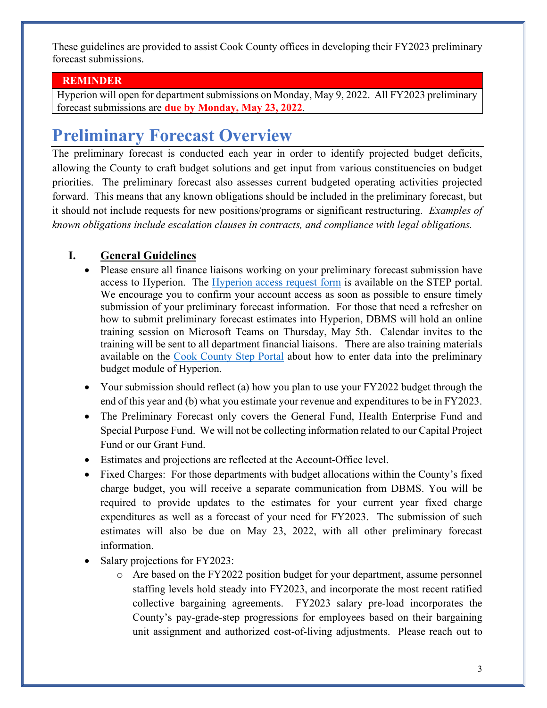These guidelines are provided to assist Cook County offices in developing their FY2023 preliminary forecast submissions.

### **REMINDER**

Hyperion will open for department submissions on Monday, May 9, 2022. All FY2023 preliminary forecast submissions are **due by Monday, May 23, 2022**.

# <span id="page-5-0"></span>**Preliminary Forecast Overview**

The preliminary forecast is conducted each year in order to identify projected budget deficits, allowing the County to craft budget solutions and get input from various constituencies on budget priorities. The preliminary forecast also assesses current budgeted operating activities projected forward. This means that any known obligations should be included in the preliminary forecast, but it should not include requests for new positions/programs or significant restructuring. *Examples of known obligations include escalation clauses in contracts, and compliance with legal obligations.* 

## <span id="page-5-1"></span>**I. General Guidelines**

- Please ensure all finance liaisons working on your preliminary forecast submission have access to Hyperion. The [Hyperion access request form](https://step.cookcountyil.gov/wp-content/uploads/Hyperion_System_Access_Request_Form-1.xlsx) is available on the STEP portal. We encourage you to confirm your account access as soon as possible to ensure timely submission of your preliminary forecast information. For those that need a refresher on how to submit preliminary forecast estimates into Hyperion, DBMS will hold an online training session on Microsoft Teams on Thursday, May 5th. Calendar invites to the training will be sent to all department financial liaisons. There are also training materials available on the [Cook County Step Portal](https://step.cookcountyil.gov/wp-content/uploads/Hyperion-Planning-Preliminary-Budget.pdf) about how to enter data into the preliminary budget module of Hyperion.
- Your submission should reflect (a) how you plan to use your FY2022 budget through the end of this year and (b) what you estimate your revenue and expenditures to be in FY2023.
- The Preliminary Forecast only covers the General Fund, Health Enterprise Fund and Special Purpose Fund. We will not be collecting information related to our Capital Project Fund or our Grant Fund.
- Estimates and projections are reflected at the Account-Office level.
- Fixed Charges: For those departments with budget allocations within the County's fixed charge budget, you will receive a separate communication from DBMS. You will be required to provide updates to the estimates for your current year fixed charge expenditures as well as a forecast of your need for FY2023. The submission of such estimates will also be due on May 23, 2022, with all other preliminary forecast information.
- Salary projections for FY2023:
	- o Are based on the FY2022 position budget for your department, assume personnel staffing levels hold steady into FY2023, and incorporate the most recent ratified collective bargaining agreements. FY2023 salary pre-load incorporates the County's pay-grade-step progressions for employees based on their bargaining unit assignment and authorized cost-of-living adjustments. Please reach out to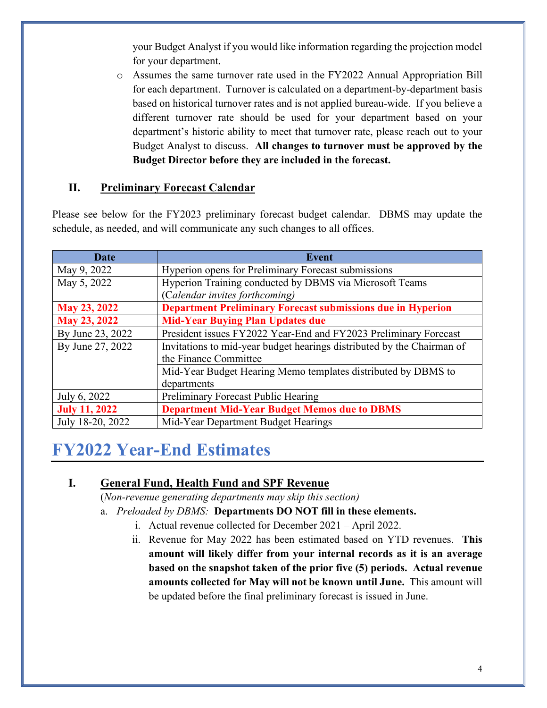your Budget Analyst if you would like information regarding the projection model for your department.

o Assumes the same turnover rate used in the FY2022 Annual Appropriation Bill for each department. Turnover is calculated on a department-by-department basis based on historical turnover rates and is not applied bureau-wide. If you believe a different turnover rate should be used for your department based on your department's historic ability to meet that turnover rate, please reach out to your Budget Analyst to discuss. **All changes to turnover must be approved by the Budget Director before they are included in the forecast.**

## <span id="page-6-0"></span>**II. Preliminary Forecast Calendar**

Please see below for the FY2023 preliminary forecast budget calendar. DBMS may update the schedule, as needed, and will communicate any such changes to all offices.

| Date                 | <b>Event</b>                                                           |  |  |
|----------------------|------------------------------------------------------------------------|--|--|
| May 9, 2022          | Hyperion opens for Preliminary Forecast submissions                    |  |  |
| May 5, 2022          | Hyperion Training conducted by DBMS via Microsoft Teams                |  |  |
|                      | (Calendar invites forthcoming)                                         |  |  |
| May 23, 2022         | <b>Department Preliminary Forecast submissions due in Hyperion</b>     |  |  |
| May 23, 2022         | <b>Mid-Year Buying Plan Updates due</b>                                |  |  |
| By June 23, 2022     | President issues FY2022 Year-End and FY2023 Preliminary Forecast       |  |  |
| By June 27, 2022     | Invitations to mid-year budget hearings distributed by the Chairman of |  |  |
|                      | the Finance Committee                                                  |  |  |
|                      | Mid-Year Budget Hearing Memo templates distributed by DBMS to          |  |  |
|                      | departments                                                            |  |  |
| July 6, 2022         | Preliminary Forecast Public Hearing                                    |  |  |
| <b>July 11, 2022</b> | <b>Department Mid-Year Budget Memos due to DBMS</b>                    |  |  |
| July 18-20, 2022     | Mid-Year Department Budget Hearings                                    |  |  |

# <span id="page-6-1"></span>**FY2022 Year-End Estimates**

## <span id="page-6-2"></span>**I. General Fund, Health Fund and SPF Revenue**

(*Non-revenue generating departments may skip this section)*

- a. *Preloaded by DBMS:* **Departments DO NOT fill in these elements.**
	- i. Actual revenue collected for December 2021 April 2022.
	- ii. Revenue for May 2022 has been estimated based on YTD revenues. **This amount will likely differ from your internal records as it is an average based on the snapshot taken of the prior five (5) periods. Actual revenue amounts collected for May will not be known until June.** This amount will be updated before the final preliminary forecast is issued in June.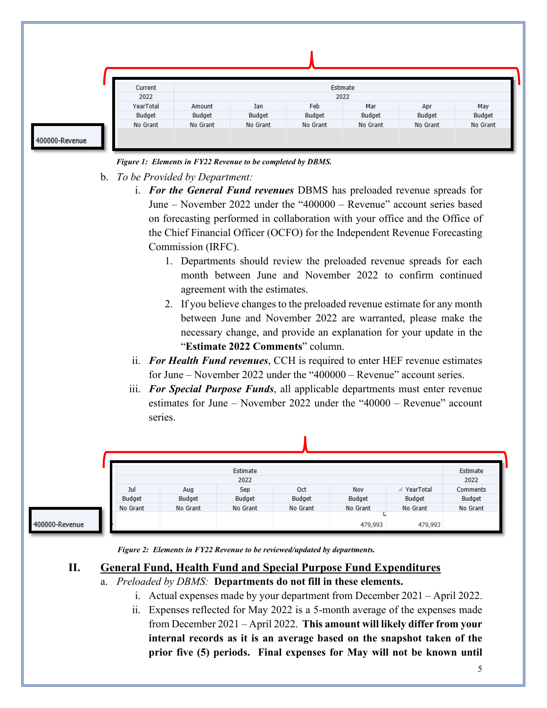|                | Current   | Estimate<br>2022 |          |          |          |          |          |
|----------------|-----------|------------------|----------|----------|----------|----------|----------|
|                | 2022      |                  |          |          |          |          |          |
|                | YearTotal | Amount           | Jan      | Feb      | Mar      | Apr      | May      |
|                | Budget    | Budget           | Budget   | Budget   | Budget   | Budget   | Budget   |
| 400000-Revenue | No Grant  | No Grant         | No Grant | No Grant | No Grant | No Grant | No Grant |

*Figure 1: Elements in FY22 Revenue to be completed by DBMS.*

- b. *To be Provided by Department:* 
	- i. *For the General Fund revenues* DBMS has preloaded revenue spreads for June – November 2022 under the "400000 – Revenue" account series based on forecasting performed in collaboration with your office and the Office of the Chief Financial Officer (OCFO) for the Independent Revenue Forecasting Commission (IRFC).
		- 1. Departments should review the preloaded revenue spreads for each month between June and November 2022 to confirm continued agreement with the estimates.
		- 2. If you believe changes to the preloaded revenue estimate for any month between June and November 2022 are warranted, please make the necessary change, and provide an explanation for your update in the "**Estimate 2022 Comments**" column.
	- ii. *For Health Fund revenues*, CCH is required to enter HEF revenue estimates for June – November 2022 under the "400000 – Revenue" account series.
	- iii. *For Special Purpose Funds*, all applicable departments must enter revenue estimates for June – November 2022 under the "40000 – Revenue" account series.



400000-Revenue

*Figure 2: Elements in FY22 Revenue to be reviewed/updated by departments.*

## <span id="page-7-0"></span>**II. General Fund, Health Fund and Special Purpose Fund Expenditures**

- a. *Preloaded by DBMS:* **Departments do not fill in these elements.**
	- i. Actual expenses made by your department from December 2021 April 2022.
	- ii. Expenses reflected for May 2022 is a 5-month average of the expenses made from December 2021 – April 2022. **This amount will likely differ from your internal records as it is an average based on the snapshot taken of the prior five (5) periods. Final expenses for May will not be known until**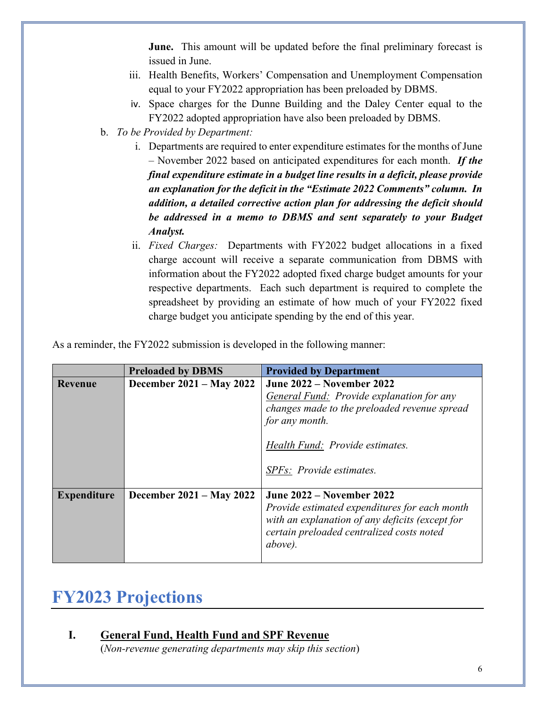**June.** This amount will be updated before the final preliminary forecast is issued in June.

- iii. Health Benefits, Workers' Compensation and Unemployment Compensation equal to your FY2022 appropriation has been preloaded by DBMS.
- iv. Space charges for the Dunne Building and the Daley Center equal to the FY2022 adopted appropriation have also been preloaded by DBMS.
- b. *To be Provided by Department:* 
	- i. Departments are required to enter expenditure estimates for the months of June – November 2022 based on anticipated expenditures for each month. *If the final expenditure estimate in a budget line results in a deficit, please provide an explanation for the deficit in the "Estimate 2022 Comments" column. In addition, a detailed corrective action plan for addressing the deficit should be addressed in a memo to DBMS and sent separately to your Budget Analyst.*
	- ii. *Fixed Charges:* Departments with FY2022 budget allocations in a fixed charge account will receive a separate communication from DBMS with information about the FY2022 adopted fixed charge budget amounts for your respective departments. Each such department is required to complete the spreadsheet by providing an estimate of how much of your FY2022 fixed charge budget you anticipate spending by the end of this year.

As a reminder, the FY2022 submission is developed in the following manner:

|                    | <b>Preloaded by DBMS</b> | <b>Provided by Department</b>                                                                                                                                                                                         |
|--------------------|--------------------------|-----------------------------------------------------------------------------------------------------------------------------------------------------------------------------------------------------------------------|
| <b>Revenue</b>     | December 2021 – May 2022 | <b>June 2022 – November 2022</b><br><b>General Fund:</b> Provide explanation for any<br>changes made to the preloaded revenue spread<br>for any month.<br>Health Fund: Provide estimates.<br>SPFs: Provide estimates. |
| <b>Expenditure</b> | December 2021 – May 2022 | <b>June 2022 – November 2022</b><br>Provide estimated expenditures for each month<br>with an explanation of any deficits (except for<br>certain preloaded centralized costs noted<br>above).                          |

## <span id="page-8-0"></span>**FY2023 Projections**

## <span id="page-8-1"></span>**I. General Fund, Health Fund and SPF Revenue**

(*Non-revenue generating departments may skip this section*)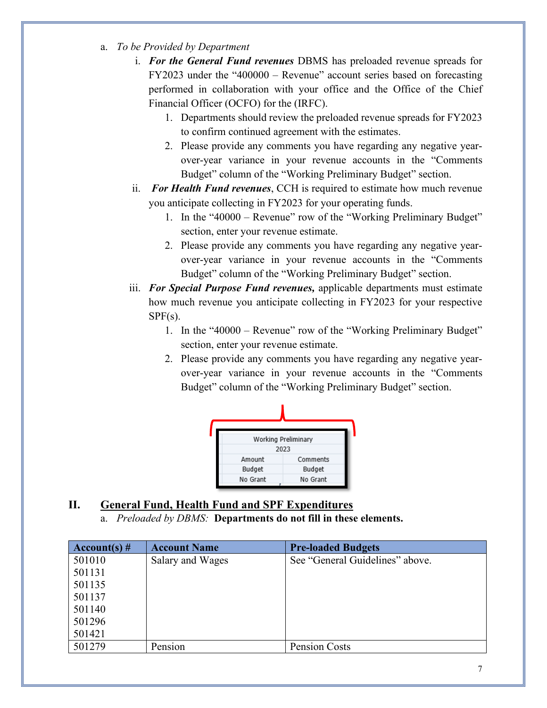- a. *To be Provided by Department*
	- i. *For the General Fund revenues* DBMS has preloaded revenue spreads for FY2023 under the "400000 – Revenue" account series based on forecasting performed in collaboration with your office and the Office of the Chief Financial Officer (OCFO) for the (IRFC).
		- 1. Departments should review the preloaded revenue spreads for FY2023 to confirm continued agreement with the estimates.
		- 2. Please provide any comments you have regarding any negative yearover-year variance in your revenue accounts in the "Comments Budget" column of the "Working Preliminary Budget" section.
	- ii. *For Health Fund revenues*, CCH is required to estimate how much revenue you anticipate collecting in FY2023 for your operating funds.
		- 1. In the "40000 Revenue" row of the "Working Preliminary Budget" section, enter your revenue estimate.
		- 2. Please provide any comments you have regarding any negative yearover-year variance in your revenue accounts in the "Comments Budget" column of the "Working Preliminary Budget" section.
	- iii. *For Special Purpose Fund revenues,* applicable departments must estimate how much revenue you anticipate collecting in FY2023 for your respective  $SPF(s)$ .
		- 1. In the "40000 Revenue" row of the "Working Preliminary Budget" section, enter your revenue estimate.
		- 2. Please provide any comments you have regarding any negative yearover-year variance in your revenue accounts in the "Comments Budget" column of the "Working Preliminary Budget" section.



## <span id="page-9-0"></span>**II. General Fund, Health Fund and SPF Expenditures**

a. *Preloaded by DBMS:* **Departments do not fill in these elements.**

| Account(s) $#$ | <b>Account Name</b> | <b>Pre-loaded Budgets</b>       |
|----------------|---------------------|---------------------------------|
| 501010         | Salary and Wages    | See "General Guidelines" above. |
| 501131         |                     |                                 |
| 501135         |                     |                                 |
| 501137         |                     |                                 |
| 501140         |                     |                                 |
| 501296         |                     |                                 |
| 501421         |                     |                                 |
| 501279         | Pension             | Pension Costs                   |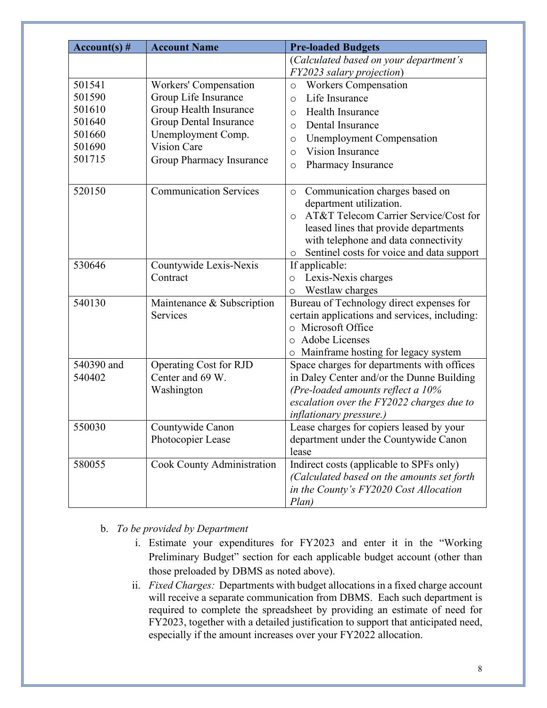| $Account(s)$ # | <b>Account Name</b>           | <b>Pre-loaded Budgets</b>                            |
|----------------|-------------------------------|------------------------------------------------------|
|                |                               | (Calculated based on your department's               |
|                |                               | FY2023 salary projection)                            |
| 501541         | <b>Workers' Compensation</b>  | <b>Workers Compensation</b><br>$\circ$               |
| 501590         | Group Life Insurance          | Life Insurance<br>$\circ$                            |
| 501610         | Group Health Insurance        | Health Insurance<br>$\circ$                          |
| 501640         | Group Dental Insurance        | Dental Insurance<br>$\circ$                          |
| 501660         | Unemployment Comp.            | <b>Unemployment Compensation</b><br>$\circ$          |
| 501690         | <b>Vision Care</b>            | <b>Vision Insurance</b><br>$\circ$                   |
| 501715         | Group Pharmacy Insurance      | Pharmacy Insurance<br>$\circ$                        |
|                |                               |                                                      |
| 520150         | <b>Communication Services</b> | Communication charges based on<br>$\circ$            |
|                |                               | department utilization.                              |
|                |                               | AT&T Telecom Carrier Service/Cost for<br>$\circ$     |
|                |                               | leased lines that provide departments                |
|                |                               | with telephone and data connectivity                 |
|                |                               | Sentinel costs for voice and data support<br>$\circ$ |
| 530646         | Countywide Lexis-Nexis        | If applicable:                                       |
|                | Contract                      | Lexis-Nexis charges<br>$\circ$                       |
|                |                               | Westlaw charges<br>$\circ$                           |
| 540130         | Maintenance & Subscription    | Bureau of Technology direct expenses for             |
|                | Services                      | certain applications and services, including:        |
|                |                               | o Microsoft Office                                   |
|                |                               | Adobe Licenses<br>$\circ$                            |
|                |                               | o Mainframe hosting for legacy system                |
| 540390 and     | Operating Cost for RJD        | Space charges for departments with offices           |
| 540402         | Center and 69 W.              | in Daley Center and/or the Dunne Building            |
|                | Washington                    | (Pre-loaded amounts reflect a 10%                    |
|                |                               | escalation over the FY2022 charges due to            |
|                |                               | <i>inflationary pressure.)</i>                       |
| 550030         | Countywide Canon              | Lease charges for copiers leased by your             |
|                | Photocopier Lease             | department under the Countywide Canon<br>lease       |
| 580055         | Cook County Administration    | Indirect costs (applicable to SPFs only)             |
|                |                               | (Calculated based on the amounts set forth           |
|                |                               | in the County's FY2020 Cost Allocation               |
|                |                               | Plan)                                                |

- b. *To be provided by Department* 
	- i. Estimate your expenditures for FY2023 and enter it in the "Working Preliminary Budget" section for each applicable budget account (other than those preloaded by DBMS as noted above).
	- ii. *Fixed Charges:* Departments with budget allocations in a fixed charge account will receive a separate communication from DBMS. Each such department is required to complete the spreadsheet by providing an estimate of need for FY2023, together with a detailed justification to support that anticipated need, especially if the amount increases over your FY2022 allocation.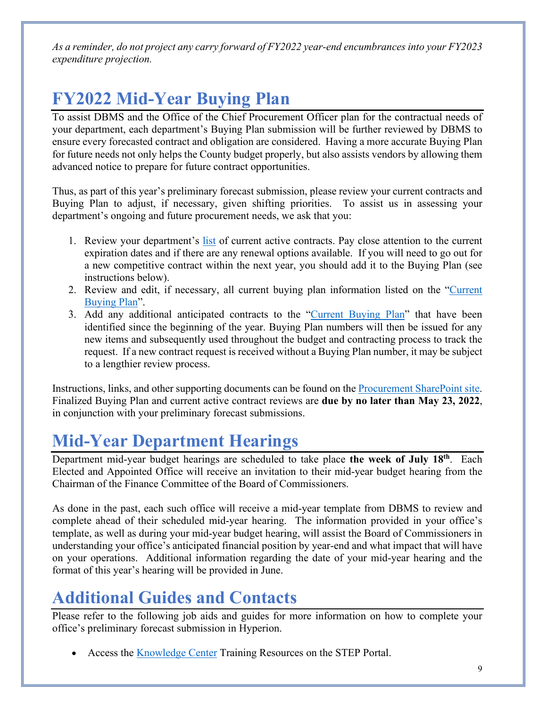*As a reminder, do not project any carry forward of FY2022 year-end encumbrances into your FY2023 expenditure projection.*

# <span id="page-11-0"></span>**FY2022 Mid-Year Buying Plan**

To assist DBMS and the Office of the Chief Procurement Officer plan for the contractual needs of your department, each department's Buying Plan submission will be further reviewed by DBMS to ensure every forecasted contract and obligation are considered. Having a more accurate Buying Plan for future needs not only helps the County budget properly, but also assists vendors by allowing them advanced notice to prepare for future contract opportunities.

Thus, as part of this year's preliminary forecast submission, please review your current contracts and Buying Plan to adjust, if necessary, given shifting priorities. To assist us in assessing your department's ongoing and future procurement needs, we ask that you:

- 1. Review your department's [list](https://cookcounty.sharepoint.com/sites/procurement/Lists/FY22%20Current%20Contracts/AllItems.aspx?origin=createList) of current active contracts. Pay close attention to the current expiration dates and if there are any renewal options available. If you will need to go out for a new competitive contract within the next year, you should add it to the Buying Plan (see instructions below).
- 2. Review and edit, if necessary, all current buying plan information listed on the "Current [Buying Plan"](https://cookcounty.sharepoint.com/sites/procurement/Lists/FY22%20Current%20Buying%20Plan/AllItems.aspx?origin=createList).
- 3. Add any additional anticipated contracts to the ["Current Buying Plan"](https://cookcounty.sharepoint.com/sites/procurement/Lists/FY22%20Current%20Buying%20Plan/AllItems.aspx?origin=createList) that have been identified since the beginning of the year. Buying Plan numbers will then be issued for any new items and subsequently used throughout the budget and contracting process to track the request. If a new contract request is received without a Buying Plan number, it may be subject to a lengthier review process.

Instructions, links, and other supporting documents can be found on the [Procurement SharePoint site.](https://cookcounty.sharepoint.com/sites/procurement/SitePages/Procurement.aspx) Finalized Buying Plan and current active contract reviews are **due by no later than May 23, 2022**, in conjunction with your preliminary forecast submissions.

# <span id="page-11-1"></span>**Mid-Year Department Hearings**

Department mid-year budget hearings are scheduled to take place **the week of July 18th**. Each Elected and Appointed Office will receive an invitation to their mid-year budget hearing from the Chairman of the Finance Committee of the Board of Commissioners.

As done in the past, each such office will receive a mid-year template from DBMS to review and complete ahead of their scheduled mid-year hearing. The information provided in your office's template, as well as during your mid-year budget hearing, will assist the Board of Commissioners in understanding your office's anticipated financial position by year-end and what impact that will have on your operations. Additional information regarding the date of your mid-year hearing and the format of this year's hearing will be provided in June.

# <span id="page-11-2"></span>**Additional Guides and Contacts**

Please refer to the following job aids and guides for more information on how to complete your office's preliminary forecast submission in Hyperion.

Access the **[Knowledge Center](http://step.cookcountyil.gov/coming-soon/training/) Training Resources on the STEP Portal.**